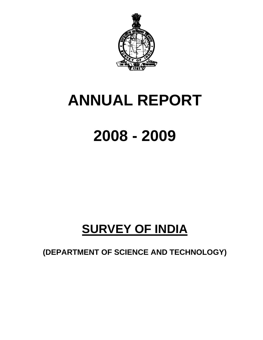

# **ANNUAL REPORT**

# **2008 - 2009**

# **SURVEY OF INDIA**

**(DEPARTMENT OF SCIENCE AND TECHNOLOGY)**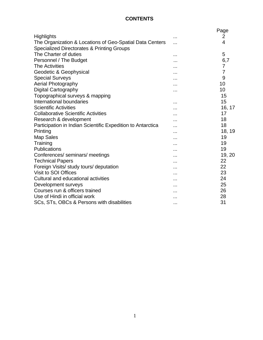# **CONTENTS**

|                                                                                                                   |          | Page           |
|-------------------------------------------------------------------------------------------------------------------|----------|----------------|
| Highlights                                                                                                        | .        | $\overline{2}$ |
| The Organization & Locations of Geo-Spatial Data Centers<br><b>Specialized Directorates &amp; Printing Groups</b> |          | 4              |
| The Charter of duties                                                                                             |          | 5              |
| Personnel / The Budget                                                                                            |          | 6,7            |
| <b>The Activities</b>                                                                                             |          | 7              |
| Geodetic & Geophysical                                                                                            |          | $\overline{7}$ |
| <b>Special Surveys</b>                                                                                            |          | 9              |
| Aerial Photography                                                                                                | .        | 10             |
| Digital Cartography                                                                                               |          | 10             |
| Topographical surveys & mapping                                                                                   |          | 15             |
| International boundaries                                                                                          | .        | 15             |
| <b>Scientific Activities</b>                                                                                      |          | 16, 17         |
| <b>Collaborative Scientific Activities</b>                                                                        |          | 17             |
| Research & development                                                                                            |          | 18             |
| Participation in Indian Scientific Expedition to Antarctica                                                       |          | 18             |
| Printing                                                                                                          |          | 18, 19         |
| <b>Map Sales</b>                                                                                                  | .        | 19             |
| Training                                                                                                          |          | 19             |
| Publications                                                                                                      | .        | 19             |
| Conferences/ seminars/ meetings                                                                                   |          | 19, 20         |
| <b>Technical Papers</b>                                                                                           |          | 22             |
| Foreign Visits/ study tours/ deputation                                                                           |          | 22             |
| Visit to SOI Offices                                                                                              |          | 23             |
| Cultural and educational activities                                                                               | .        | 24             |
| Development surveys                                                                                               |          | 25             |
| Courses run & officers trained                                                                                    |          | 26             |
| Use of Hindi in official work                                                                                     | .        | 28             |
| SCs, STs, OBCs & Persons with disabilities                                                                        | $\cdots$ | 31             |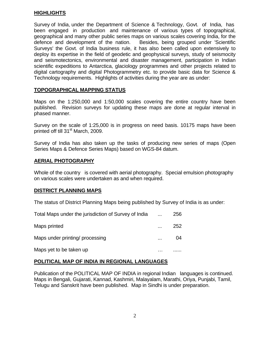# **HIGHLIGHTS**

Survey of India, under the Department of Science & Technology, Govt. of India, has been engaged in production and maintenance of various types of topographical, geographical and many other public series maps on various scales covering India, for the defence and development of the nation. Besides, being grouped under 'Scientific Surveys' the Govt. of India business rule, it has also been called upon extensively to deploy its expertise in the field of geodetic and geophysical surveys, study of seismocity and seismotectonics, environmental and disaster management, participation in Indian scientific expeditions to Antarctica, glaciology programmes and other projects related to digital cartography and digital Photogrammetry etc. to provide basic data for Science & Technology requirements. Highlights of activities during the year are as under:

# **TOPOGRAPHICAL MAPPING STATUS**

Maps on the 1:250,000 and 1:50,000 scales covering the entire country have been published. Revision surveys for updating these maps are done at regular interval in phased manner.

Survey on the scale of 1:25,000 is in progress on need basis. 10175 maps have been printed off till 31<sup>st</sup> March, 2009.

Survey of India has also taken up the tasks of producing new series of maps (Open Series Maps & Defence Series Maps) based on WGS-84 datum.

# **AERIAL PHOTOGRAPHY**

Whole of the country is covered with aerial photography. Special emulsion photography on various scales were undertaken as and when required.

#### **DISTRICT PLANNING MAPS**

The status of District Planning Maps being published by Survey of India is as under:

| Total Maps under the jurisdiction of Survey of India | $\cdots$ | 256 |
|------------------------------------------------------|----------|-----|
| Maps printed                                         |          | 252 |
| Maps under printing/ processing                      |          | 04  |
| Maps yet to be taken up                              |          |     |

# **POLITICAL MAP OF INDIA IN REGIONAL LANGUAGES**

Publication of the POLITICAL MAP OF INDIA in regional Indian languages is continued. Maps in Bengali, Gujarati, Kannad, Kashmiri, Malayalam, Marathi, Oriya, Punjabi, Tamil, Telugu and Sanskrit have been published. Map in Sindhi is under preparation.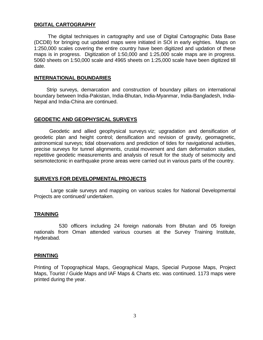## **DIGITAL CARTOGRAPHY**

 The digital techniques in cartography and use of Digital Cartographic Data Base (DCDB) for bringing out updated maps were initiated in SOI in early eighties. Maps on 1:250,000 scales covering the entire country have been digitized and updation of these maps is in progress. Digitization of 1:50,000 and 1:25,000 scale maps are in progress. 5060 sheets on 1:50,000 scale and 4965 sheets on 1:25,000 scale have been digitized till date.

#### **INTERNATIONAL BOUNDARIES**

 Strip surveys, demarcation and construction of boundary pillars on international boundary between India-Pakistan, India-Bhutan, India-Myanmar, India-Bangladesh, India-Nepal and India-China are continued.

#### **GEODETIC AND GEOPHYSICAL SURVEYS**

 Geodetic and allied geophysical surveys viz; upgradation and densification of geodetic plan and height control; densification and revision of gravity, geomagnetic, astronomical surveys; tidal observations and prediction of tides for navigational activities, precise surveys for tunnel alignments, crustal movement and dam deformation studies, repetitive geodetic measurements and analysis of result for the study of seismocity and seismotectonic in earthquake prone areas were carried out in various parts of the country.

# **SURVEYS FOR DEVELOPMENTAL PROJECTS**

 Large scale surveys and mapping on various scales for National Developmental Projects are continued/ undertaken.

#### **TRAINING**

530 officers including 24 foreign nationals from Bhutan and 05 foreign nationals from Oman attended various courses at the Survey Training Institute, Hyderabad.

#### **PRINTING**

Printing of Topographical Maps, Geographical Maps, Special Purpose Maps, Project Maps, Tourist / Guide Maps and IAF Maps & Charts etc. was continued. 1173 maps were printed during the year.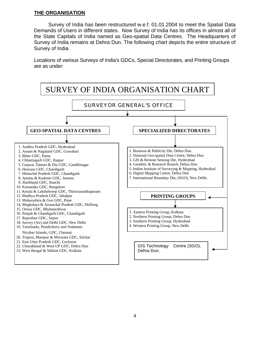# **THE ORGANISATION**

 Survey of India has been restructured w.e.f. 01.01.2004 to meet the Spatial Data Demands of Users in different states. Now Survey of India has its offices in almost all of the State Capitals of India named as Geo-spatial Data Centres. The Headquarters of Survey of India remains at Dehra Dun. The following chart depicts the entire structure of Survey of India.

Locations of various Surveys of India's GDCs, Special Directorates, and Printing Groups are as under:

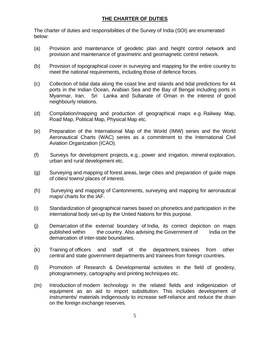# **THE CHARTER OF DUTIES**

The charter of duties and responsibilities of the Survey of India (SOI) are enumerated below:

- (a) Provision and maintenance of geodetic plan and height control network and provision and maintenance of gravimetric and geomagnetic control network.
- (b) Provision of topographical cover in surveying and mapping for the entire country to meet the national requirements, including those of defence forces.
- (c) Collection of tidal data along the coast line and islands and tidal predictions for 44 ports in the Indian Ocean, Arabian Sea and the Bay of Bengal including ports in Myanmar, Iran, Sri Lanka and Sultanate of Oman in the interest of good neighbourly relations.
- (d) Compilation/mapping and production of geographical maps e.g. Railway Map, Road Map, Political Map, Physical Map etc.
- (e) Preparation of the International Map of the World (IMW) series and the World Aeronautical Charts (WAC) series as a commitment to the International Civil Aviation Organization (ICAO).
- (f) Surveys for development projects, e.g., power and irrigation, mineral exploration, urban and rural development etc.
- (g) Surveying and mapping of forest areas, large cities and preparation of guide maps of cities/ towns/ places of interest.
- (h) Surveying and mapping of Cantonments, surveying and mapping for aeronautical maps/ charts for the IAF.
- (i) Standardization of geographical names based on phonetics and participation in the international body set-up by the United Nations for this purpose.
- (j) Demarcation of the external boundary of India, its correct depiction on maps published within the country. Also advising the Government of India on the demarcation of inter-state boundaries.
- (k) Training of officers and staff of the department, trainees from other central and state government departments and trainees from foreign countries.

.

- (l) Promotion of Research & Developmental activities in the field of geodesy, photogrammetry, cartography and printing techniques etc.
- (m) Introduction of modern technology in the related fields and indigenization of equipment as an aid to import substitution. This includes development of instruments/ materials indigenously to increase self-reliance and reduce the drain on the foreign exchange reserves.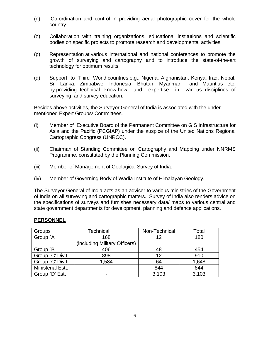- (n) Co-ordination and control in providing aerial photographic cover for the whole country.
- (o) Collaboration with training organizations, educational institutions and scientific bodies on specific projects to promote research and developmental activities.
- (p) Representation at various international and national conferences to promote the growth of surveying and cartography and to introduce the state-of-the-art technology for optimum results.
- (q) Support to Third World countries e.g., Nigeria, Afghanistan, Kenya, Iraq, Nepal, Sri Lanka, Zimbabwe, Indonesia, Bhutan, Myanmar and Mauritius etc. by providing technical know-how and expertise invarious disciplines of surveying and survey education.

Besides above activities, the Surveyor General of India is associated with the under mentioned Expert Groups/ Committees.

- (i) Member of Executive Board of the Permanent Committee on GIS Infrastructure for Asia and the Pacific (PCGIAP) under the auspice of the United Nations Regional Cartographic Congress (UNRCC).
- (ii) Chairman of Standing Committee on Cartography and Mapping under NNRMS Programme, constituted by the Planning Commission.
- (iii) Member of Management of Geological Survey of India.
- (iv) Member of Governing Body of Wadia Institute of Himalayan Geology.

The Surveyor General of India acts as an adviser to various ministries of the Government of India on all surveying and cartographic matters. Survey of India also renders advice on the specifications of surveys and furnishes necessary data/ maps to various central and state government departments for development, planning and defence applications.

#### **PERSONNEL**

| Groups                   | <b>Technical</b>              | Non-Technical | Total |
|--------------------------|-------------------------------|---------------|-------|
| Group `A'                | 168                           | 12            | 180   |
|                          | (including Military Officers) |               |       |
| Group `B'                | 406                           | 48            | 454   |
| Group `C' Div.I          | 898                           | 12            | 910   |
| Group `C' Div.II         | 1,584                         | 64            | 1,648 |
| <b>Ministerial Estt.</b> |                               | 844           | 844   |
| Group `D' Estt           |                               | 3,103         | 3,103 |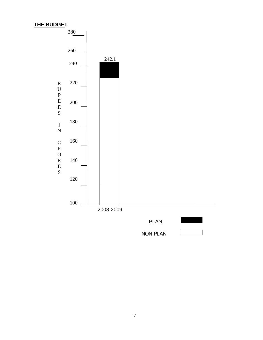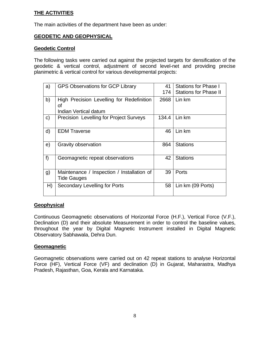# **THE ACTIVITIES**

The main activities of the department have been as under:

# **GEODETIC AND GEOPHYSICAL**

# **Geodetic Control**

The following tasks were carried out against the projected targets for densification of the geodetic & vertical control, adjustment of second level-net and providing precise planimetric & vertical control for various developmental projects:

| a) | <b>GPS Observations for GCP Library</b>                          | 41<br>174 | <b>Stations for Phase I</b><br><b>Stations for Phase II</b> |
|----|------------------------------------------------------------------|-----------|-------------------------------------------------------------|
| b) | High Precision Levelling for Redefinition<br>Οf                  | 2668      | Lin km                                                      |
|    | Indian Vertical datum                                            |           |                                                             |
| c) | <b>Precision Levelling for Project Surveys</b>                   | 134.4     | Lin km                                                      |
| d) | <b>EDM Traverse</b>                                              | 46        | Lin km                                                      |
| e) | <b>Gravity observation</b>                                       | 864       | <b>Stations</b>                                             |
| f  | Geomagnetic repeat observations                                  | 42        | <b>Stations</b>                                             |
| g) | Maintenance / Inspection / Installation of<br><b>Tide Gauges</b> | 39        | Ports                                                       |
| H) | Secondary Levelling for Ports                                    | 58        | Lin km (09 Ports)                                           |

# **Geophysical**

Continuous Geomagnetic observations of Horizontal Force (H.F.), Vertical Force (V.F.), Declination (D) and their absolute Measurement in order to control the baseline values, throughout the year by Digital Magnetic Instrument installed in Digital Magnetic Observatory Sabhawala, Dehra Dun.

# **Geomagnetic**

Geomagnetic observations were carried out on 42 repeat stations to analyse Horizontal Force (HF), Vertical Force (VF) and declination (D) in Gujarat, Maharastra, Madhya Pradesh, Rajasthan, Goa, Kerala and Karnataka.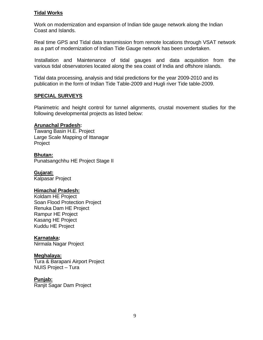# **Tidal Works**

Work on modernization and expansion of Indian tide gauge network along the Indian Coast and Islands.

Real time GPS and Tidal data transmission from remote locations through VSAT network as a part of modernization of Indian Tide Gauge network has been undertaken.

 Installation and Maintenance of tidal gauges and data acquisition from the various tidal observatories located along the sea coast of India and offshore islands.

Tidal data processing, analysis and tidal predictions for the year 2009-2010 and its publication in the form of Indian Tide Table-2009 and Hugli river Tide table-2009.

# **SPECIAL SURVEYS**

Planimetric and height control for tunnel alignments, crustal movement studies for the following developmental projects as listed below:

# **Arunachal Pradesh:**

Tawang Basin H.E. Project Large Scale Mapping of Ittanagar Project

## **Bhutan:**

Punatsangchhu HE Project Stage II

# **Gujarat:**

Kalpasar Project

#### **Himachal Pradesh:**

Koldam HE Project Soan Flood Protection Project Renuka Dam HE Project Rampur HE Project Kasang HE Project Kuddu HE Project

# **Karnataka:**

Nirmala Nagar Project

# **Meghalaya:**

Tura & Barapani Airport Project NUIS Project – Tura

#### **Punjab:**

Ranjit Sagar Dam Project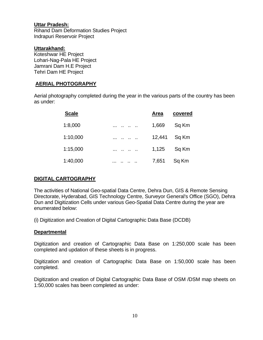# **Uttar Pradesh:**

Rihand Dam Deformation Studies Project Indrapuri Reservoir Project

# **Uttarakhand:**

Koteshwar HE Project Lohari-Nag-Pala HE Project Jamrani Dam H.E Project Tehri Dam HE Project

# **AERIAL PHOTOGRAPHY**

Aerial photography completed during the year in the various parts of the country has been as under:

| <b>Scale</b> |               | <b>Area</b> | covered |
|--------------|---------------|-------------|---------|
| 1:8,000      | $\cdot$ .<br> | 1,669       | Sq Km   |
| 1:10,000     | $\cdot$ .<br> | 12,441      | Sq Km   |
| 1:15,000     | $\cdot$ .<br> | 1,125       | Sq Km   |
| 1:40,000     | . .           | 7,651       | Sq Km   |

# **DIGITAL CARTOGRAPHY**

The activities of National Geo-spatial Data Centre, Dehra Dun, GIS & Remote Sensing Directorate, Hyderabad, GIS Technology Centre, Surveyor General's Office (SGO), Dehra Dun and Digitization Cells under various Geo-Spatial Data Centre during the year are enumerated below:

(i) Digitization and Creation of Digital Cartographic Data Base (DCDB)

# **Departmental**

Digitization and creation of Cartographic Data Base on 1:250,000 scale has been completed and updation of these sheets is in progress.

Digitization and creation of Cartographic Data Base on 1:50,000 scale has been completed.

Digitization and creation of Digital Cartographic Data Base of OSM /DSM map sheets on 1:50,000 scales has been completed as under: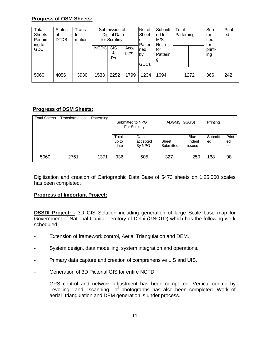# **Progress of OSM Sheets:**

| Total<br><b>Sheets</b><br>Pertain- | <b>Status</b><br>οf<br>for-<br><b>DTDB</b> | Trans<br>mation |             | Submission of<br>Digital Data<br>for Scrutiny |              | No. of<br>Sheet<br>s<br>Patter | Submitt<br>ed to<br>M/S<br>Rolta |      | Total<br>Patterning |                      | Print-<br>ed |
|------------------------------------|--------------------------------------------|-----------------|-------------|-----------------------------------------------|--------------|--------------------------------|----------------------------------|------|---------------------|----------------------|--------------|
| ing to<br><b>GDC</b>               |                                            |                 | <b>NGDC</b> | <b>GIS</b><br>&<br>Rs                         | Acce<br>pted | ned<br>by<br><b>GDCs</b>       | for<br>Patterin<br>g             |      |                     | for<br>print-<br>ing |              |
| 5060                               | 4056                                       | 3930            | 1533        | 2252                                          | 1799         | 1234                           | 1694                             | 1272 |                     | 366                  | 242          |

# **Progress of DSM Sheets:**

| <b>Total Sheets</b> | Transformation | Patterning | Submitted to NPG<br>For Scrutiny |                            | ADGMS (GSGS)       | Printing                        |               |                    |
|---------------------|----------------|------------|----------------------------------|----------------------------|--------------------|---------------------------------|---------------|--------------------|
|                     |                |            | Total<br>up to<br>date           | Data<br>accepted<br>By NPG | Sheet<br>Submitted | <b>Blue</b><br>Indent<br>issued | Submitt<br>ed | Print<br>ed<br>off |
| 5060                | 2761           | 1371       | 936                              | 505                        | 327                | 250                             | 168           | 98                 |

Digitization and creation of Cartographic Data Base of 5473 sheets on 1:25,000 scales has been completed.

# **Progress of Important Project:**

**DSSDI Project: -** 3D GIS Solution including generation of large Scale base map for Government of National Capital Territory of Delhi (GNCTD) which has the following work scheduled:

- Extension of framework control, Aerial Triangulation and DEM.
- System design, data modelling, system integration and operations.
- Primary data capture and creation of comprehensive LIS and UIS.
- Generation of 3D Pictorial GIS for entire NCTD.
- GPS control and network adjustment has been completed. Vertical control by Levelling and scanning of photographs has also been completed. Work of aerial triangulation and DEM generation is under process.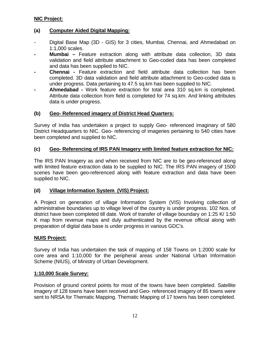# **NIC Project:**

# **(a) Computer Aided Digital Mapping:**

- Digital Base Map (3D GIS) for 3 cities, Mumbai, Chennai, and Ahmedabad on 1:1,000 scales.
- **Mumbai –** Feature extraction along with attribute data collection, 3D data validation and field attribute attachment to Geo-coded data has been completed and data has been supplied to NIC.
- **Chennai -** Feature extraction and field attribute data collection has been completed. 3D data validation and field attribute attachment to Geo-coded data is under progress. Data pertaining to 47.5 sq.km has been supplied to NIC.
- **Ahmedabad** Work feature extraction for total area 310 sq.km is completed. Attribute data collection from field is completed for 74 sq.km. And linking attributes data is under progress.

# **(b) Geo- Referenced imagery of District Head Quarters:**

Survey of India has undertaken a project to supply Geo- referenced imaginary of 580 District Headquarters to NIC. Geo- referencing of imageries pertaining to 540 cities have been completed and supplied to NIC.

# **(c) Geo- Referencing of IRS PAN Imagery with limited feature extraction for NIC:**

The IRS PAN Imagery as and when received from NIC are to be geo-referenced along with limited feature extraction data to be supplied to NIC. The IRS PAN imagery of 1500 scenes have been geo-referenced along with feature extraction and data have been supplied to NIC.

# **(d) Village Information System (VIS) Project:**

A Project on generation of village Information System (VIS) Involving collection of administrative boundaries up to village level of the country is under progress. 102 Nos. of district have been completed till date. Work of transfer of village boundary on 1:25 K/ 1:50 K map from revenue maps and duly authenticated by the revenue official along with preparation of digital data base is under progress in various GDC's.

#### **NUIS Project:**

Survey of India has undertaken the task of mapping of 158 Towns on 1:2000 scale for core area and 1:10,000 for the peripheral areas under National Urban Information Scheme (NIUS), of Ministry of Urban Development.

#### **1:10,000 Scale Survey:**

Provision of ground control points for most of the towns have been completed. Satellite imagery of 128 towns have been received and Geo- referenced imagery of 85 towns were sent to NRSA for Thematic Mapping. Thematic Mapping of 17 towns has been completed.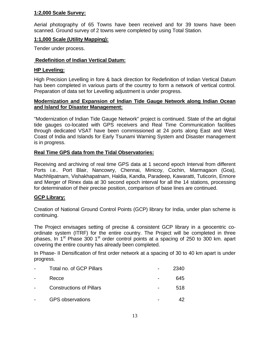# **1:2,000 Scale Survey:**

Aerial photography of 65 Towns have been received and for 39 towns have been scanned. Ground survey of 2 towns were completed by using Total Station.

# **1:1,000 Scale (Utility Mapping):**

Tender under process.

# **Redefinition of Indian Vertical Datum:**

# **HP Leveling:**

High Precision Levelling in fore & back direction for Redefinition of Indian Vertical Datum has been completed in various parts of the country to form a network of vertical control. Preparation of data set for Levelling adjustment is under progress.

# **Modernization and Expansion of Indian Tide Gauge Network along Indian Ocean and Island for Disaster Management:**

"Modernization of Indian Tide Gauge Network" project is continued. State of the art digital tide gauges co-located with GPS receivers and Real Time Communication facilities through dedicated VSAT have been commissioned at 24 ports along East and West Coast of India and Islands for Early Tsunami Warning System and Disaster management is in progress.

# **Real Time GPS data from the Tidal Observatories:**

Receiving and archiving of real time GPS data at 1 second epoch Interval from different Ports i.e.. Port Blair, Nancowry, Chennai, Minicoy, Cochin, Marmagaon (Goa), Machhlipatnam, Vishakhapatnam, Haldia, Kandla, Paradeep, Kawaratti, Tuticorin, Ennore and Merger of Rinex data at 30 second epoch interval for all the 14 stations, processing for determination of their precise position, comparison of base lines are continued.

# **GCP Library:**

Creation of National Ground Control Points (GCP) library for India, under plan scheme is continuing.

The Project envisages setting of precise & consistent GCP library in a geocentric coordinate system (ITRF) for the entire country. The Project will be completed in three phases. In 1<sup>st</sup> Phase 300 1<sup>st</sup> order control points at a spacing of 250 to 300 km. apart covering the entire country has already been completed.

In Phase- II Densification of first order network at a spacing of 30 to 40 km apart is under progress.

| Total no. of GCP Pillars        | 2340 |
|---------------------------------|------|
| Recce                           | 645  |
| <b>Constructions of Pillars</b> | 518  |
| <b>GPS</b> observations         |      |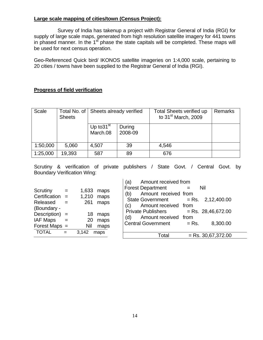# **Large scale mapping of cities/town (Census Project):**

 Survey of India has takenup a project with Registrar General of India (RGI) for supply of large scale maps, generated from high resolution satellite imagery for 441 towns in phased manner. In the 1<sup>st</sup> phase the state capitals will be completed. These maps will be used for next census operation.

Geo-Referenced Quick bird/ IKONOS satellite imageries on 1:4,000 scale, pertaining to 20 cities / towns have been supplied to the Registrar General of India (RGI).

# **Progress of field verification**

| <b>Scale</b> | Total No. of<br><b>Sheets</b> | Sheets already verified  |                   | Total Sheets verified up<br>to $31st$ March, 2009 | <b>Remarks</b> |
|--------------|-------------------------------|--------------------------|-------------------|---------------------------------------------------|----------------|
|              |                               | Up to $31st$<br>March.08 | During<br>2008-09 |                                                   |                |
| 1:50,000     | 5,060                         | 4,507                    | 39                | 4,546                                             |                |
| 1:25,000     | 19,393                        | 587                      | 89                | 676                                               |                |

Scrutiny & verification of private publishers / State Govt. / Central Govt. by Boundary Verification Wing:

|                                                                                                                                                     |                   |                                                   |                                                      | Amount received from<br>(a)                                                                                                                                                                                                                                                                    |
|-----------------------------------------------------------------------------------------------------------------------------------------------------|-------------------|---------------------------------------------------|------------------------------------------------------|------------------------------------------------------------------------------------------------------------------------------------------------------------------------------------------------------------------------------------------------------------------------------------------------|
| Scrutiny<br>Certification $=$<br>Released<br>(Boundary -<br>Description) $=$<br>IAF Maps<br>$\sim$ $\sim$ $\sim$<br>Forest Maps $=$<br><b>TOTAL</b> | $=$<br>$=$<br>$=$ | 1,633<br>1,210<br>261<br>18<br>20<br>Nil<br>3,142 | maps<br>maps<br>maps<br>maps<br>maps<br>maps<br>maps | <b>Forest Department</b><br>Nil<br>$=$<br>Amount received from<br>(b)<br>$=$ Rs. 2,12,400.00<br><b>State Government</b><br>Amount received from<br>(c)<br><b>Private Publishers</b><br>$=$ Rs. 28,46,672.00<br>Amount received from<br>(d)<br><b>Central Government</b><br>8,300.00<br>$=$ Rs. |
|                                                                                                                                                     |                   |                                                   |                                                      | $=$ Rs. 30,67,372.00<br>Total                                                                                                                                                                                                                                                                  |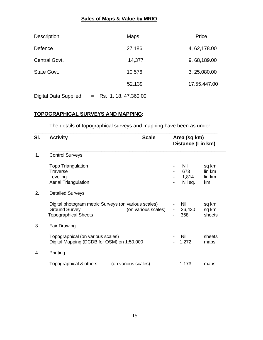# **Sales of Maps & Value by MRIO**

| <b>Description</b> | <b>Maps</b> | Price         |
|--------------------|-------------|---------------|
| Defence            | 27,186      | 4, 62, 178.00 |
| Central Govt.      | 14,377      | 9, 68, 189.00 |
| State Govt.        | 10,576      | 3, 25, 080.00 |
|                    | 52,139      | 17,55,447.00  |
|                    |             |               |

Digital Data Supplied  $=$  Rs. 1, 18, 47,360.00

# **TOPOGRAPHICAL SURVEYS AND MAPPING:**

The details of topographical surveys and mapping have been as under:

| SI. | <b>Activity</b>                                                                                             | <b>Scale</b>        | Area (sq km)             | Distance (Lin km)              |                                  |
|-----|-------------------------------------------------------------------------------------------------------------|---------------------|--------------------------|--------------------------------|----------------------------------|
| 1.  | <b>Control Surveys</b>                                                                                      |                     |                          |                                |                                  |
|     | <b>Topo Triangulation</b><br>Traverse<br>Leveling<br><b>Aerial Triangulation</b>                            |                     | $\overline{\phantom{0}}$ | Nil<br>673<br>1,814<br>Nil sq. | sq km<br>lin km<br>lin km<br>km. |
| 2.  | <b>Detailed Surveys</b>                                                                                     |                     |                          |                                |                                  |
|     | Digital photogram metric Surveys (on various scales)<br><b>Ground Survey</b><br><b>Topographical Sheets</b> | (on various scales) | $\blacksquare$           | Nil<br>26,430<br>368           | sq km<br>sq km<br>sheets         |
| 3.  | <b>Fair Drawing</b>                                                                                         |                     |                          |                                |                                  |
|     | Topographical (on various scales)<br>Digital Mapping (DCDB for OSM) on 1:50,000                             |                     |                          | Nil<br>1,272                   | sheets<br>maps                   |
| 4.  | Printing                                                                                                    |                     |                          |                                |                                  |
|     | Topographical & others<br>(on various scales)                                                               |                     |                          | 1,173                          | maps                             |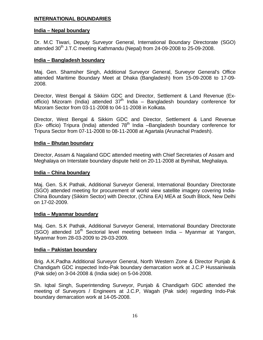# **INTERNATIONAL BOUNDARIES**

## **India – Nepal boundary**

Dr. M.C Tiwari, Deputy Surveyor General, International Boundary Directorate (SGO) attended  $30<sup>th</sup>$  J.T.C meeting Kathmandu (Nepal) from 24-09-2008 to 25-09-2008.

## **India – Bangladesh boundary**

Maj. Gen. Shamsher Singh, Additional Surveyor General, Surveyor General's Office attended Maritime Boundary Meet at Dhaka (Bangladesh) from 15-09-2008 to 17-09- 2008.

Director, West Bengal & Sikkim GDC and Director, Settlement & Land Revenue (Exofficio) Mizoram (India) attended  $37<sup>th</sup>$  India – Bangladesh boundary conference for Mizoram Sector from 03-11-2008 to 04-11-2008 in Kolkata.

Director, West Bengal & Sikkim GDC and Director, Settlement & Land Revenue (Ex- officio) Tripura (India) attended 78<sup>th</sup> India –Bangladesh boundary conference for Tripura Sector from 07-11-2008 to 08-11-2008 at Agartala (Arunachal Pradesh).

## **India – Bhutan boundary**

Director, Assam & Nagaland GDC attended meeting with Chief Secretaries of Assam and Meghalaya on Interstate boundary dispute held on 20-11-2008 at Bymihat, Meghalaya.

#### **India – China boundary**

Maj. Gen. S.K Pathak, Additional Surveyor General, International Boundary Directorate (SGO) attended meeting for procurement of world view satellite imagery covering India-China Boundary (Sikkim Sector) with Director, (China EA) MEA at South Block, New Delhi on 17-02-2009.

#### **India – Myanmar boundary**

Maj. Gen. S.K Pathak, Additional Surveyor General, International Boundary Directorate (SGO) attended 16<sup>th</sup> Sectorial level meeting between India – Myanmar at Yangon, Myanmar from 28-03-2009 to 29-03-2009.

#### **India – Pakistan boundary**

Brig. A.K.Padha Additional Surveyor General, North Western Zone & Director Punjab & Chandigarh GDC inspected Indo-Pak boundary demarcation work at J.C.P Hussainiwala (Pak side) on 3-04-2008 & (India side) on 5-04-2008.

Sh. Iqbal Singh, Superintending Surveyor, Punjab & Chandigarh GDC attended the meeting of Surveyors / Engineers at J.C.P, Wagah (Pak side) regarding Indo-Pak boundary demarcation work at 14-05-2008.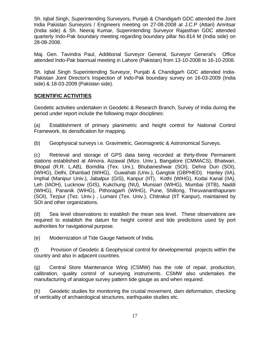Sh. Iqbal Singh, Superintending Surveyors, Punjab & Chandigarh GDC attended the Joint India Pakistan Surveyors / Engineers meeting on 27-08-2008 at J.C.P (Attari) Amritsar (India side) & Sh. Neeraj Kumar, Superintending Surveyor Rajasthan GDC attended quarterly Indo-Pak boundary meeting regarding boundary pillar No.814 M (India side) on 28-08-2008.

Maj. Gen. Tavindra Paul, Additional Surveyor General, Surveyor General's Office attended Indo-Pak biannual meeting in Lahore (Pakistan) from 13-10-2008 to 16-10-2008.

Sh. Iqbal Singh Superintending Surveyor, Punjab & Chandigarh GDC attended India-Pakistan Joint Director's Inspection of Indo-Pak boundary survey on 16-03-2009 (India side) & 18-03-2009 (Pakistan side).

# **SCIENTIFIC ACTIVITIES**

Geodetic activities undertaken in Geodetic & Research Branch, Survey of India during the period under report include the following major disciplines:

(a) Establishment of primary planimetric and height control for National Control Framework, its densification for mapping.

(b) Geophysical surveys i.e. Gravimetric, Geomagnetic & Astronomical Surveys.

(c) Retrieval and storage of GPS data being recorded at thirty-three Permanent stations established at Almora. Aizawal (Mizo. Univ.), Bangalore (CMMACS), Bhatwari, Bhopal (R.R. L.AB), Bomdila (Tex. Uni.), Bhubaneshwar (SOI), Dehra Dun (SOI), (WIHG), Delhi, Dhanbad (WIHG), Guwahati (Univ.), Gangtok (GBPHED). Hanley (IIA), Imphal (Manipur Univ.), Jabalpur (GIS), Kanpur (IIT), Kothi (WIHG), Kodai Kanal (IIA), Leh (IAOH), Lucknow (GIS), Kukchung (NU), Munsiari (WIHG), Mumbai (IITB), Naddi (WIHG), Pananik (WIHG), Pithoragarh (WIHG), Pune, Shillong, Thiruvananthapuram (SOI), Tezpur (Tez. Univ.) , Lumani (Tex. Univ.), Chitrakut (IIT Kanpur), maintained by SOI and other organizations.

(d) Sea level observations to establish the mean sea level. These observations are required to establish the datum for height control and tide predictions used by port authorities for navigational purpose.

(e) Modernization of Tide Gauge Network of India.

(f) Provision of Geodetic & Geophysical control for developmental projects within the country and also in adjacent countries.

(g) Central Store Maintenance Wing (CSMW) has the role of repair, production, calibration, quality control of surveying instruments. CSMW also undertakes the manufacturing of analogue survey pattern tide gauge as and when required.

(h) Geodetic studies for monitoring the crustal movement, dam deformation, checking of verticality of archaeological structures, earthquake studies etc.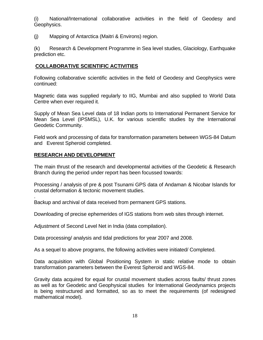(i) National/International collaborative activities in the field of Geodesy and Geophysics.

(j) Mapping of Antarctica (Maitri & Environs) region.

(k) Research & Development Programme in Sea level studies, Glaciology, Earthquake prediction etc.

# **COLLABORATIVE SCIENTIFIC ACTIVITIES**

Following collaborative scientific activities in the field of Geodesy and Geophysics were continued:

Magnetic data was supplied regularly to IIG, Mumbai and also supplied to World Data Centre when ever required it.

Supply of Mean Sea Level data of 18 Indian ports to International Permanent Service for Mean Sea Level (IPSMSL), U.K. for various scientific studies by the International Geodetic Community.

Field work and processing of data for transformation parameters between WGS-84 Datum and Everest Spheroid completed.

# **RESEARCH AND DEVELOPMENT**

.

The main thrust of the research and developmental activities of the Geodetic & Research Branch during the period under report has been focussed towards:

Processing / analysis of pre & post Tsunami GPS data of Andaman & Nicobar Islands for crustal deformation & tectonic movement studies.

Backup and archival of data received from permanent GPS stations.

Downloading of precise ephemerides of IGS stations from web sites through internet.

Adjustment of Second Level Net in India (data compilation).

Data processing/ analysis and tidal predictions for year 2007 and 2008.

As a sequel to above programs, the following activities were initiated/ Completed.

Data acquisition with Global Positioning System in static relative mode to obtain transformation parameters between the Everest Spheroid and WGS-84.

Gravity data acquired for equal for crustal movement studies across faults/ thrust zones as well as for Geodetic and Geophysical studies for International Geodynamics projects is being restructured and formatted, so as to meet the requirements (of redesigned mathematical model).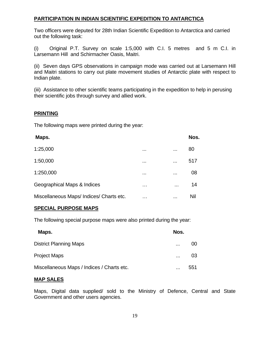# **PARTICIPATION IN INDIAN SCIENTIFIC EXPEDITION TO ANTARCTICA**

Two officers were deputed for 28th Indian Scientific Expedition to Antarctica and carried out the following task:

(i) Original P.T. Survey on scale 1:5,000 with C.I. 5 metres and 5 m C.I. in Larsemann Hill and Schirmacher Oasis, Maitri.

(ii) Seven days GPS observations in campaign mode was carried out at Larsemann Hill and Maitri stations to carry out plate movement studies of Antarctic plate with respect to Indian plate.

(iii) Assistance to other scientific teams participating in the expedition to help in perusing their scientific jobs through survey and allied work.

# **PRINTING**

The following maps were printed during the year:

| Maps.                                  |          |          | Nos. |
|----------------------------------------|----------|----------|------|
| 1:25,000                               | $\cdots$ |          | 80   |
| 1:50,000                               | $\cdots$ | $\cdots$ | 517  |
| 1:250,000                              | $\cdots$ | $\cdots$ | 08   |
| Geographical Maps & Indices            | $\cdots$ | $\cdots$ | 14   |
| Miscellaneous Maps/Indices/Charts etc. | .        |          | Nil  |

# **SPECIAL PURPOSE MAPS**

The following special purpose maps were also printed during the year:

| Maps.                                      | Nos.           |
|--------------------------------------------|----------------|
| <b>District Planning Maps</b>              | 00<br>$\cdots$ |
| <b>Project Maps</b>                        | 03<br>$\cdots$ |
| Miscellaneous Maps / Indices / Charts etc. | 551<br>        |

# **MAP SALES**

Maps, Digital data supplied/ sold to the Ministry of Defence, Central and State Government and other users agencies.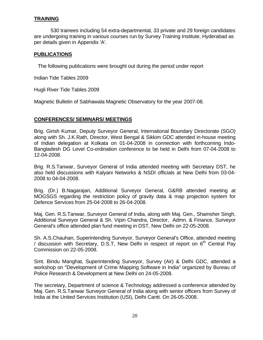# **TRAINING**

530 trainees including 54 extra-departmental, 33 private and 29 foreign candidates are undergoing training in various courses run by Survey Training Institute, Hyderabad as per details given in Appendix 'A'.

## **PUBLICATIONS**

The following publications were brought out during the period under report

Indian Tide Tables 2009

Hugli River Tide Tables 2009

Magnetic Bulletin of Sabhawala Magnetic Observatory for the year 2007-08.

## **CONFERENCES/ SEMINARS/ MEETINGS**

Brig. Girish Kumar, Deputy Surveyor General, International Boundary Directorate (SGO) along with Sh. J.K.Rath, Director, West Bengal & Sikkim GDC attended in-house meeting of Indian delegation at Kolkata on 01-04-2008 in connection with forthcoming Indo-Bangladesh DG Level Co-ordination conference to be held in Delhi from 07-04-2008 to 12-04-2008.

Brig. R.S.Tanwar, Surveyor General of India attended meeting with Secretary DST, he also held discussions with Kalyani Networks & NSDI officials at New Delhi from 03-04- 2008 to 04-04-2008.

Brig. (Dr.) B.Nagarajan, Additional Surveyor General, G&RB attended meeting at MOGSGS regarding the restriction policy of gravity data & map projection system for Defence Services from 25-04-2008 to 26-04-2008.

Maj. Gen. R.S.Tanwar, Surveyor General of India, along with Maj. Gen., Shamsher Singh, Additional Surveyor General & Sh. Vipin Chandra, Director, Admn. & Finance, Surveyor General's office attended plan fund meeting in DST, New Delhi on 22-05-2008.

Sh. A.S.Chauhan, Superintending Surveyor, Surveyor General's Office, attended meeting / discussion with Secretary, D.S.T, New Delhi in respect of report on  $6<sup>th</sup>$  Central Pay Commission on 22-05-2008.

Smt. Bindu Manghat, Superintending Surveyor, Survey (Air) & Delhi GDC, attended a workshop on "Development of Crime Mapping Software in India" organized by Bureau of Police Research & Development at New Delhi on 24-05-2008.

The secretary, Department of science & Technology addressed a conference attended by Maj. Gen. R.S.Tanwar Surveyor General of India along with senior officers from Survey of India at the United Services Institution (USI), Delhi Cantt. On 26-05-2008.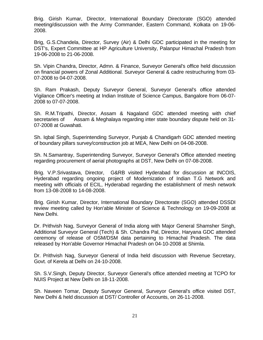Brig. Girish Kumar, Director, International Boundary Directorate (SGO) attended meeting/discussion with the Army Commander, Eastern Command, Kolkata on 19-06- 2008.

Brig, G.S.Chandela, Director, Survey (Air) & Delhi GDC participated in the meeting for DST's, Expert Committee at HP Agriculture University, Palanpur Himachal Pradesh from 19-06-2008 to 21-06-2008.

Sh. Vipin Chandra, Director, Admn. & Finance, Surveyor General's office held discussion on financial powers of Zonal Additional. Surveyor General & cadre restruchuring from 03- 07-2008 to 04-07-2008.

Sh. Ram Prakash, Deputy Surveyor General, Surveyor General's office attended Vigilance Officer's meeting at Indian Institute of Science Campus, Bangalore from 06-07- 2008 to 07-07-2008.

Sh. R.M.Tripathi, Director, Assam & Nagaland GDC attended meeting with chief secretaries of Assam & Meghalaya regarding inter state boundary dispute held on 31- 07-2008 at Guwahati.

Sh. Iqbal Singh, Superintending Surveyor, Punjab & Chandigarh GDC attended meeting of boundary pillars survey/construction job at MEA, New Delhi on 04-08-2008.

Sh. N.Samantray, Superintending Surveyor, Surveyor General's Office attended meeting regarding procurement of aerial photographs at DST, New Delhi on 07-08-2008.

Brig. V.P.Srivastava, Director, G&RB visited Hyderabad for discussion at INCOIS, Hyderabad regarding ongoing project of Modernization of Indian T.G Network and meeting with officials of ECIL, Hyderabad regarding the establishment of mesh network from 13-08-2008 to 14-08-2008.

Brig. Girish Kumar, Director, International Boundary Directorate (SGO) attended DSSDI review meeting called by Hon'able Minister of Science & Technology on 19-09-2008 at New Delhi.

Dr. Prithvish Nag, Surveyor General of India along with Major General Shamsher Singh, Additional Surveyor General (Tech) & Sh. Chandra Pal, Director, Haryana GDC attended ceremony of release of OSM/DSM data pertaining to Himachal Pradesh. The data released by Hon'able Governor Himachal Pradesh on 04-10-2008 at Shimla.

Dr. Prithvish Nag, Surveyor General of India held discussion with Revenue Secretary, Govt. of Kerela at Delhi on 24-10-2008.

Sh. S.V.Singh, Deputy Director, Surveyor General's office attended meeting at TCPO for NUIS Project at New Delhi on 18-11-2008.

Sh. Naveen Tomar, Deputy Surveyor General, Surveyor General's office visited DST, New Delhi & held discussion at DST/ Controller of Accounts, on 26-11-2008.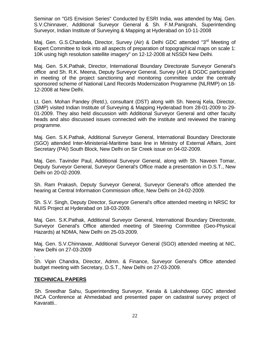Seminar on "GIS Envision Series" Conducted by ESRI India, was attended by Maj. Gen. S.V.Chinnaver, Additional Surveyor General & Sh. F.M.Panigrahi, Superintending Surveyor, Indian Institute of Surveying & Mapping at Hyderabad on 10-11-2008

Maj. Gen. G.S.Chandela, Director, Survey (Air) & Delhi GDC attended "3<sup>rd</sup> Meeting of Expert Committee to look into all aspects of preparation of topographical maps on scale 1: 10K using high resolution satellite imagery" on 12-12-2008 at NSSDI New Delhi.

Maj. Gen. S.K.Pathak, Director, International Boundary Directorate Surveyor General's office and Sh. R.K. Meena, Deputy Surveyor General, Survey (Air) & DGDC participated in meeting of the project sanctioning and monitoring committee under the centrally sponsored scheme of National Land Records Modernization Programme (NLRMP) on 18- 12-2008 at New Delhi.

Lt. Gen. Mohan Pandey (Retd.), consultant (DST) along with Sh. Neeraj Kela, Director, (SMP) visited Indian Institute of Surveying & Mapping Hyderabad from 28-01-2009 to 29- 01-2009. They also held discussion with Additional Surveyor General and other faculty heads and also discussed issues connected with the institute and reviewed the training programme.

Maj. Gen. S.K.Pathak, Additional Surveyor General, International Boundary Directorate (SGO) attended Inter-Ministerial-Maritime base line in Ministry of External Affairs, Joint Secretary (PAI) South Block, New Delhi on Sir Creek issue on 04-02-2009.

Maj. Gen. Tavinder Paul, Additional Surveyor General, along with Sh. Naveen Tomar, Deputy Surveyor General, Surveyor General's Office made a presentation in D.S.T., New Delhi on 20-02-2009.

Sh. Ram Prakash, Deputy Surveyor General, Surveyor General's office attended the hearing at Central Information Commission office, New Delhi on 24-02-2009.

Sh. S.V. Singh, Deputy Director, Surveyor General's office attended meeting in NRSC for NUIS Project at Hyderabad on 18-03-2009.

Maj. Gen. S.K.Pathak, Additional Surveyor General, International Boundary Directorate, Surveyor General's Office attended meeting of Steering Committee (Geo-Physical Hazards) at NDMA, New Delhi on 25-03-2009.

Maj. Gen. S.V.Chinnawar, Additional Surveyor General (SGO) attended meeting at NIC, New Delhi on 27-03-2009

Sh. Vipin Chandra, Director, Admn. & Finance, Surveyor General's Office attended budget meeting with Secretary, D.S.T., New Delhi on 27-03-2009.

# **TECHNICAL PAPERS**

.

Sh. Sreedhar Sahu, Superintending Surveyor, Kerala & Lakshdweep GDC attended INCA Conference at Ahmedabad and presented paper on cadastral survey project of Kavaratti..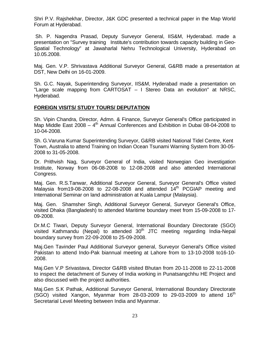Shri P.V. Rajshekhar, Director, J&K GDC presented a technical paper in the Map World Forum at Hyderabad.

 Sh. P. Nagendra Prasad, Deputy Surveyor General, IIS&M, Hyderabad. made a presentation on "Survey training Institute's contribution towards capacity building in Geo-Spatial Technology" at Jawaharlal Nehru Technological University, Hyderabad on 10.05.2008.

Maj. Gen. V.P. Shrivastava Additional Surveyor General, G&RB made a presentation at DST, New Delhi on 16-01-2009.

Sh. G.C. Nayak, Superintending Surveyor, IIS&M, Hyderabad made a presentation on "Large scale mapping from CARTOSAT – I Stereo Data an evolution" at NRSC, Hyderabad.

## **FOREIGN VISITS/ STUDY TOURS/ DEPUTATION**

Sh. Vipin Chandra, Director, Admn. & Finance, Surveyor General's Office participated in Map Middle East  $2008 - 4$ <sup>th</sup> Annual Conferences and Exhibition in Dubai 08-04-2008 to 10-04-2008.

Sh. G.Varuna Kumar Superintending Surveyor, G&RB visited National Tidel Centre, Kent Town, Australia to attend Training on Indian Ocean Tsunami Warning System from 30-05- 2008 to 31-05-2008.

Dr. Prithvish Nag, Surveyor General of India, visited Norwegian Geo investigation Institute, Norway from 06-08-2008 to 12-08-2008 and also attended International Congress.

Maj. Gen. R.S.Tanwar, Additional Surveyor General, Surveyor General's Office visited Malaysia from 19-08-2008 to 22-08-2008 and attended  $14<sup>th</sup>$  PCGIAP meeting and International Seminar on land administration at Kuala Lampur (Malaysia).

Maj. Gen. Shamsher Singh, Additional Surveyor General, Surveyor General's Office, visited Dhaka (Bangladesh) to attended Maritime boundary meet from 15-09-2008 to 17- 09-2008.

Dr.M.C Tiwari, Deputy Surveyor General, International Boundary Directorate (SGO) visited Kathmandu (Nepal) to attended  $30<sup>th</sup>$  JTC meeting regarding India-Nepal boundary survey from 22-09-2008 to 25-09-2008.

Maj.Gen Tavinder Paul Additional Surveyor general, Surveyor General's Office visited Pakistan to attend Indo-Pak biannual meeting at Lahore from to 13-10-2008 to16-10- 2008.

Maj.Gen V.P Srivastava, Director G&RB visited Bhutan from 20-11-2008 to 22-11-2008 to inspect the detachment of Survey of India working in Punatsangchhu HE Project and also discussed with the project authorities.

Maj.Gen S.K Pathak, Additional Surveyor General, International Boundary Directorate (SGO) visited Xangon, Myanmar from 28-03-2009 to 29-03-2009 to attend  $16<sup>th</sup>$ Secretarial Level Meeting between India and Myanmar.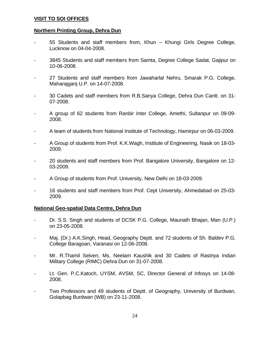# **VISIT TO SOI OFFICES**

## **Northern Printing Group, Dehra Dun**

- 55 Students and staff members from, Khun Khungi Girls Degree College, Lucknow on 04-04-2008.
- 3845 Students and staff members from Samta, Degree College Sadat, Gajipur on 10-06-2008.
- 27 Students and staff members from Jawaharlal Nehru, Smarak P.G. College, Maharajganj U.P. on 14-07-2008.
- 30 Cadets and staff members from R.B.Sanya College, Dehra Dun Cantt. on 31- 07-2008.
- A group of 62 students from Ranbir Inter College, Amethi, Sultanpur on 09-09- 2008.
- A team of students from National Institute of Technology, Hamirpur on 06-03-2009.
- A Group of students from Prof. K.K.Wagh, Institute of Engineering, Nasik on 18-03- 2009.
- 20 students and staff members from Prof. Bangalore University, Bangalore on 12- 03-2009.
- A Group of students from Prof. University, New Delhi on 18-03-2009.
- 16 students and staff members from Prof. Cept University, Ahmedabad on 25-03- 2009.

#### **National Geo-spatial Data Centre, Dehra Dun**

- Dr. S.S. Singh and students of DCSK P.G. College, Maunath Bhajan, Man (U.P.) on 23-05-2008.
- Maj. (Dr.) A.K.Singh, Head, Geography Deptt. and 72 students of Sh. Baldev P.G. College Baragoan, Varanasi on 12-06-2008.
- Mr. R.Thamil Selven, Ms. Neelam Kaushik and 30 Cadets of Rastriya Indian Military College (RIMC) Dehra Dun on 31-07-2008.
- Lt. Gen. P.C. Katoch, UYSM, AVSM, SC, Director General of Infosys on 14-08-2008.
- Two Professors and 49 students of Deptt. of Geography, University of Burdwan, Golapbag Burdwan (WB) on 23-11-2008.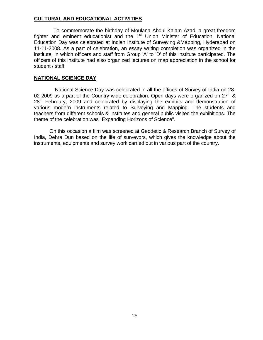# **CULTURAL AND EDUCATIONAL ACTIVITIES**

 To commemorate the birthday of Moulana Abdul Kalam Azad, a great freedom fighter and eminent educationist and the  $1<sup>st</sup>$  Union Minister of Education, National Education Day was celebrated at Indian Institute of Surveying &Mapping, Hyderabad on 11-11-2008. As a part of celebration, an essay writing completion was organized in the institute, in which officers and staff from Group 'A' to 'D' of this institute participated. The officers of this institute had also organized lectures on map appreciation in the school for student / staff.

## **NATIONAL SCIENCE DAY**

 National Science Day was celebrated in all the offices of Survey of India on 28- 02-2009 as a part of the Country wide celebration. Open days were organized on  $27<sup>th</sup>$  &  $28<sup>th</sup>$  February, 2009 and celebrated by displaying the exhibits and demonstration of various modern instruments related to Surveying and Mapping. The students and teachers from different schools & institutes and general public visited the exhibitions. The theme of the celebration was" Expanding Horizons of Science".

On this occasion a film was screened at Geodetic & Research Branch of Survey of India, Dehra Dun based on the life of surveyors, which gives the knowledge about the instruments, equipments and survey work carried out in various part of the country.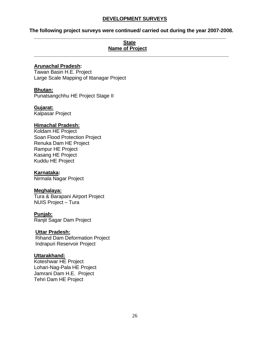# **DEVELOPMENT SURVEYS**

## **The following project surveys were continued/ carried out during the year 2007-2008. \_\_\_\_\_\_\_\_\_\_\_\_\_\_\_\_\_\_\_\_\_\_\_\_\_\_\_\_\_\_\_\_\_\_\_\_\_\_\_\_\_\_\_\_\_\_\_\_\_\_\_\_\_\_\_\_\_\_\_\_\_\_\_\_\_\_\_\_**

**\_\_\_\_\_\_\_\_\_\_\_\_\_\_\_\_\_\_\_\_\_\_\_\_\_\_\_\_\_\_\_\_\_\_\_\_\_\_\_\_\_\_\_\_\_\_\_\_\_\_\_\_\_\_\_\_\_\_\_\_\_\_\_\_\_\_\_\_\_** 

# **State Name of Project**

## **Arunachal Pradesh:**

Tawan Basin H.E. Project Large Scale Mapping of Ittanagar Project

## **Bhutan:**

Punatsangchhu HE Project Stage II

## **Gujarat:**

Kalpasar Project

## **Himachal Pradesh:**

Koldam HE Project Soan Flood Protection Project Renuka Dam HE Project Rampur HE Project Kasang HE Project Kuddu HE Project

#### **Karnataka:**

Nirmala Nagar Project

#### **Meghalaya:**

Tura & Barapani Airport Project NUIS Project – Tura

#### **Punjab:**

Ranjit Sagar Dam Project

#### **Uttar Pradesh:**

Rihand Dam Deformation Project Indrapuri Reservoir Project

#### **Uttarakhand:**

Koteshwar HE Project Lohari-Nag-Pala HE Project Jamrani Dam H.E. Project Tehri Dam HE Project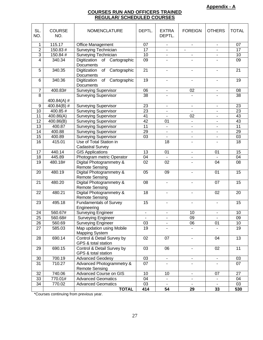#### **COURSES RUN AND OFFICERS TRAINED REGULAR/ SCHEDULED COURSES**

| SL.<br>NO.              | <b>COURSE</b><br>NO. | <b>NOMENCLATURE</b>                                | DEPTL.          | <b>EXTRA</b><br>DEPTL.   | <b>FOREIGN</b>           | <b>OTHERS</b>            | <b>TOTAL</b>    |
|-------------------------|----------------------|----------------------------------------------------|-----------------|--------------------------|--------------------------|--------------------------|-----------------|
| 1                       | 115.17               | Office Management                                  | 07              | $\blacksquare$           | $\blacksquare$           | $\mathbf{r}$             | 07              |
| $\overline{2}$          | 150.83 #             | Surveying Technician                               | 17              | $\blacksquare$           |                          |                          | 17              |
| $\overline{3}$          | 150.84 #             | Surveying Technician                               | 10              |                          |                          |                          | 10              |
| $\overline{\mathbf{4}}$ | 340.34               | Digitization of Cartographic<br>Documents          | 09              | $\sim$                   |                          |                          | 09              |
| 5                       | 340.35               | Digitization<br>of<br>Cartographic<br>Documents    | $\overline{21}$ | $\overline{\phantom{a}}$ | $\overline{\phantom{0}}$ |                          | $\overline{21}$ |
| $\,6$                   | 340.36               | of<br>Digitization<br>Cartographic<br>Documents    | $\overline{19}$ | $\blacksquare$           | $\overline{\phantom{a}}$ | $\blacksquare$           | $\overline{19}$ |
| $\overline{7}$          | 400.83#              | <b>Surveying Supervisor</b>                        | 06              | $\blacksquare$           | 02                       | $\blacksquare$           | 08              |
| $\overline{8}$          | 400.84(A) #          | <b>Surveying Supervisor</b>                        | 38              |                          |                          |                          | 38              |
| $\boldsymbol{9}$        | 400.84(B) #          | <b>Surveying Supervisor</b>                        | 23              | $\blacksquare$           | $\blacksquare$           | $\blacksquare$           | 23              |
| 10                      | 400.85 #             | <b>Surveying Supervisor</b>                        | $\overline{23}$ | $\blacksquare$           | $\overline{\phantom{0}}$ | $\blacksquare$           | $\overline{23}$ |
| 11                      | 400.86(A)            | <b>Surveying Supervisor</b>                        | 41              | $\blacksquare$           | 02                       | $\overline{\phantom{a}}$ | 43              |
| 12                      | 400.86(B)            | <b>Surveying Supervisor</b>                        | 42              | 01                       | $\blacksquare$           | $\blacksquare$           | 43              |
| 13                      | 400.87               | <b>Surveying Supervisor</b>                        | 11              | $\blacksquare$           | $\blacksquare$           | $\blacksquare$           | 11              |
| 14                      | 400.88               | <b>Surveying Supervisor</b>                        | 29              | $\blacksquare$           | ÷,                       | $\overline{\phantom{a}}$ | 29              |
| 15                      | 400.89               | <b>Surveying Supervisor</b>                        | 03              | $\blacksquare$           | $\overline{\phantom{0}}$ | $\overline{\phantom{a}}$ | 03              |
| 16                      | 415.01               | Use of Total Station in<br><b>Cadastral Survey</b> |                 | 18                       | $\overline{\phantom{0}}$ |                          | 18              |
| 17                      | 440.14               | <b>GIS Applications</b>                            | 13              | 01                       | $\blacksquare$           | 01                       | 15              |
| 18                      | 445.89               | Photogram metric Operator                          | 04              |                          | ۰                        |                          | 04              |
| 19                      | 480.18#              | Digital Photogrammetry &<br><b>Remote Sensing</b>  | 02              | 02                       | ۰                        | 04                       | 08              |
| 20                      | 480.19               | Digital Photogrammetry &<br><b>Remote Sensing</b>  | 05              | 09                       | $\blacksquare$           | 01                       | 15              |
| 21                      | 480.20               | Digital Photogrammetry &<br><b>Remote Sensing</b>  | 08              | $\blacksquare$           | $\blacksquare$           | 07                       | 15              |
| 22                      | 480.21               | Digital Photogrammetry &<br><b>Remote Sensing</b>  | 18              | $\blacksquare$           | ۰                        | 02                       | 20              |
| 23                      | 495.18               | <b>Fundamentals of Survey</b><br>Engineering       | 15              | $\overline{\phantom{a}}$ | -                        | ٠                        | 15              |
| 24                      | 560.67#              | <b>Surveying Engineer</b>                          | $\blacksquare$  |                          | 10                       |                          | 10              |
| 25                      | 560.68#              | <b>Surveying Engineer</b>                          | $\blacksquare$  | $\blacksquare$           | 09                       |                          | 09              |
| 26                      | 560.69               | Surveying Engineer                                 | 03              |                          | 06                       | 01                       | 10 <sup>1</sup> |
| 27                      | 585.03               | Map updation using Mobile<br><b>Mapping System</b> | 19              |                          |                          |                          | 19              |
| 28                      | 690.14               | Control & Detail Survey by<br>GPS & total station  | 02              | 07                       |                          | 04                       | $\overline{13}$ |
| 29                      | 690.15               | Control & Detail Survey by<br>GPS & total station  | 03              | 06                       | ٠                        | 02                       | 11              |
| 30                      | 700.19               | <b>Advanced Geodesy</b>                            | 03              | $\blacksquare$           | $\overline{\phantom{0}}$ | $\blacksquare$           | 03              |
| 31                      | 710.27               | Advanced Photogrammetry &<br><b>Remote Sensing</b> | 07              |                          |                          |                          | 07              |
| 32                      | 740.06               | Advanced Course on GIS                             | 10              | 10                       | $\blacksquare$           | 07                       | 27              |
| 33                      | 770.01#              | <b>Advanced Geomatics</b>                          | 04              | $\blacksquare$           | $\blacksquare$           | $\overline{\phantom{a}}$ | 04              |
| 34                      | 770.02               | <b>Advanced Geomatics</b>                          | 03              | $\blacksquare$           | $\blacksquare$           | $\blacksquare$           | 03              |
|                         |                      | <b>TOTAL</b>                                       | 414             | 54                       | 29                       | 33                       | 530             |

\*Courses continuing from previous year.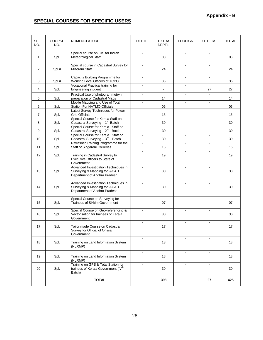# **SPECIAL COURSES FOR SPECIFIC USERS**

| SL.<br>NO.   | <b>COURSE</b><br>NO. | <b>NOMENCLATURE</b>                                                                                   | DEPTL.         | <b>EXTRA</b><br>DEPTL. | <b>FOREIGN</b>           | <b>OTHERS</b>  | <b>TOTAL</b> |
|--------------|----------------------|-------------------------------------------------------------------------------------------------------|----------------|------------------------|--------------------------|----------------|--------------|
| $\mathbf{1}$ | Spl.                 | Special course on GIS for Indian<br>Meteorological Staff                                              | $\overline{a}$ | 03                     | $\overline{a}$           | $\sim$         | 03           |
| 2            | Spl.#                | Special course in Cadastral Survey for<br>Mizoram Staff                                               |                | 24                     |                          |                | 24           |
| 3            | Spl.#                | Capacity Building Programme for<br>Working Level Officers of TCPO                                     | $\blacksquare$ | 36                     | $\blacksquare$           | $\blacksquare$ | 36           |
| 4            | Spl.                 | Vocational Practical training for<br>Engineering student                                              |                | $\blacksquare$         |                          | 27             | 27           |
| 5            | Spl.                 | Practical Use of photogrammetry in<br>preparation of Cadastral Maps                                   | $\mathbf{r}$   | 14                     | $\blacksquare$           |                | 14           |
| 6            | Spl.                 | Mobile Mapping and Use of Total<br>Station For NATMO Officials                                        | $\blacksquare$ | 06                     | $\blacksquare$           | $\blacksquare$ | 06           |
| 7            | Spl.                 | Latest Survey Techniques for Power<br><b>Grid Officials</b>                                           | $\blacksquare$ | 15                     | $\blacksquare$           | $\blacksquare$ | 15           |
| 8            | Spl.                 | Special Course for Kerala Staff on<br>Cadastral Surveying $-1^{st}$ Batch                             |                | 30                     |                          |                | 30           |
| 9            | Spl.                 | Special Course for Kerala Staff on<br>Cadastral Surveying $-2^{nd}$ Batch                             |                | 30                     |                          |                | 30           |
| 10           | Spl.                 | Special Course for Kerala Staff on<br>Cadastral Surveying - 3 <sup>rd</sup> Batch                     | $\blacksquare$ | 30                     | $\blacksquare$           |                | 30           |
| 11           |                      | Refresher Training Programme for the                                                                  | $\blacksquare$ | 16                     | $\blacksquare$           | $\sim$         | 16           |
| 12           | Spl.<br>Spl.         | Staff of Singareni Collieries<br>Training in Cadastral Survey to                                      |                | 19                     |                          |                | 19           |
|              |                      | Executive Officers to State of<br>Government                                                          |                |                        |                          |                |              |
| 13           | Spl.                 | Advanced Investigation Techniques in<br>Surveying & Mapping for I&CAD<br>Department of Andhra Pradesh |                | 30                     | $\blacksquare$           |                | 30           |
| 14           | Spl.                 | Advanced Investigation Techniques in<br>Surveying & Mapping for I&CAD<br>Department of Andhra Pradesh |                | 30                     |                          |                | 30           |
| 15           | Spl.                 | Special Course on Surveying for<br><b>Trainees of Sikkim Government</b>                               |                | 07                     |                          |                | 07           |
| 16           | Spl.                 | Special Course on Geo-referencing &<br>Vectorisation for trainees of Kerala<br>Government             | ÷              | 30                     | $\overline{\phantom{a}}$ |                | 30           |
| 17           | Spl.                 | Tailor made Course on Cadastral<br>Survey for Official of Orissa<br>Government                        |                | 17                     |                          |                | 17           |
| 18           | Spl.                 | Training on Land Information System<br>(NLRMP)                                                        | $\sim$         | 13                     | $\overline{\phantom{a}}$ | $\sim$         | 13           |
| 19           | Spl.                 | Training on Land Information System<br>(NLRMP)                                                        |                | 18                     |                          |                | 18           |
| 20           | Spl.                 | Training on GPS & Total Station for<br>trainees of Kerala Government (IV <sup>th</sup><br>Batch)      | $\blacksquare$ | 30                     | $\blacksquare$           | $\blacksquare$ | 30           |
|              |                      | <b>TOTAL</b>                                                                                          | $\blacksquare$ | 398                    | $\blacksquare$           | 27             | 425          |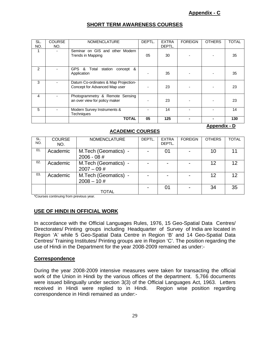**Appendix - D**

# **SHORT TERM AWARENESS COURSES**

| SL.<br>NO.     | <b>COURSE</b><br>NO. | <b>NOMENCLATURE</b>                                                   | DEPTL. | <b>EXTRA</b><br>DEPTL. | <b>FOREIGN</b> | <b>OTHERS</b> | <b>TOTAL</b> |
|----------------|----------------------|-----------------------------------------------------------------------|--------|------------------------|----------------|---------------|--------------|
|                |                      | Seminar on GIS and other Modern<br>Trends in Mapping                  | 05     | 30                     |                |               | 35           |
| $\mathfrak{p}$ |                      | <b>GPS</b><br>Total<br>&<br>station<br>concept &<br>Application       |        | 35                     |                |               | 35           |
| 3              |                      | Datum Co-ordinates & Map Projection-<br>Concept for Advanced Map user |        | 23                     |                |               | 23           |
| 4              |                      | Photogrammetry & Remote Sensing<br>an over view for policy maker      |        | 23                     |                |               | 23           |
| 5              |                      | Modern Survey Instruments &<br><b>Techniques</b>                      |        | 14                     |                |               | 14           |
|                |                      | <b>TOTAL</b>                                                          | 05     | 125                    |                |               | 130          |

## **ACADEMIC COURSES**

| SL.<br>NO. | <b>COURSE</b><br>NO. | <b>NOMENCLATURE</b>                   | DEPTL. | <b>EXTRA</b><br>DEPTL. | <b>FOREIGN</b> | <b>OTHERS</b> | <b>TOTAL</b>    |
|------------|----------------------|---------------------------------------|--------|------------------------|----------------|---------------|-----------------|
| 01.        | Academic             | M.Tech (Geomatics) -<br>$2006 - 08 #$ |        | 01                     |                | 10            | 11              |
| 02.        | Academic             | M.Tech (Geomatics) -<br>$2007 - 09$ # |        |                        |                | 12            | 12 <sup>°</sup> |
| 03.        | Academic             | M.Tech (Geomatics) -<br>$2008 - 10#$  |        |                        |                | 12            | 12 <sup>2</sup> |
|            |                      | TOTAL                                 |        | 01                     |                | 34            | 35              |

\*Courses continuing from previous year.

# **USE OF HINDI IN OFFICIAL WORK**

In accordance with the Official Languages Rules, 1976, 15 Geo-Spatial Data Centres/ Directorates/ Printing groups including Headquarter of Survey of India are located in Region 'A' while 5 Geo-Spatial Data Centre in Region 'B' and 14 Geo-Spatial Data Centres/ Training Institutes/ Printing groups are in Region 'C'. The position regarding the use of Hindi in the Department for the year 2008-2009 remained as under:-

#### **Correspondence**

During the year 2008-2009 intensive measures were taken for transacting the official work of the Union in Hindi by the various offices of the department. 5,766 documents were issued bilingually under section 3(3) of the Official Languages Act, 1963. Letters received in Hindi were replied to in Hindi. Region wise position regarding correspondence in Hindi remained as under:-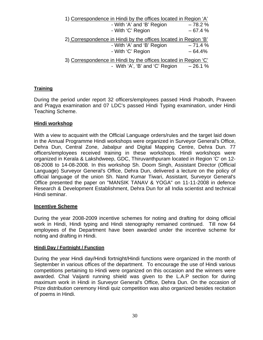| 1) Correspondence in Hindi by the offices located in Region 'A' |          |
|-----------------------------------------------------------------|----------|
| - With 'A' and 'B' Region                                       | $-78.2%$ |
| - With 'C' Region                                               | $-67.4%$ |
| 2) Correspondence in Hindi by the offices located in Region 'B' |          |
| - With 'A' and 'B' Region                                       | $-71.4%$ |
| - With 'C' Region                                               | $-64.4%$ |
| 3) Correspondence in Hindi by the offices located in Region 'C' |          |
| - With 'A', 'B' and 'C' Region                                  | $-26.1%$ |

# **Training**

During the period under report 32 officers/employees passed Hindi Prabodh, Praveen and Pragya examination and 07 LDC's passed Hindi Typing examination, under Hindi Teaching Scheme.

#### **Hindi workshop**

With a view to acquaint with the Official Language orders/rules and the target laid down in the Annual Programme Hindi workshops were organized in Surveyor General's Office, Dehra Dun, Central Zone, Jabalpur and Digital Mapping Centre, Dehra Dun. 77 officers/employees received training in these workshops. Hindi workshops were organized in Kerala & Lakshdweep, GDC, Thiruvanthpuram located in Region 'C' on 12- 08-2008 to 14-08-2008. In this workshop Sh. Doom Singh, Assistant Director (Official Language) Surveyor General's Office, Dehra Dun, delivered a lecture on the policy of official language of the union Sh. Nand Kumar Tiwari, Assistant, Surveyor General's Office presented the paper on "MANSIK TANAV & YOGA" on 11-11-2008 in defence Research & Development Establishment, Dehra Dun for all India scientist and technical Hindi seminar.

#### **Incentive Scheme**

During the year 2008-2009 incentive schemes for noting and drafting for doing official work in Hindi, Hindi typing and Hindi stenography remained continued. Till now 64 employees of the Department have been awarded under the incentive scheme for noting and drafting in Hindi.

#### **Hindi Day / Fortnight / Function**

During the year Hindi day/Hindi fortnight/Hindi functions were organized in the month of September in various offices of the department. To encourage the use of Hindi various competitions pertaining to Hindi were organized on this occasion and the winners were awarded. Chal Vaijanti running shield was given to the L.A.P section for during maximum work in Hindi in Surveyor General's Office, Dehra Dun. On the occasion of Prize distribution ceremony Hindi quiz competition was also organized besides recitation of poems in Hindi.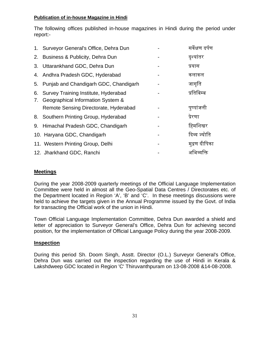# **Publication of in-house Magazine in Hindi**

The following offices published in-house magazines in Hindi during the period under report:-

|    | 1. Surveyor General's Office, Dehra Dun | सर्वेक्षण दर्पण |
|----|-----------------------------------------|-----------------|
| 2. | Business & Publicity, Dehra Dun         | दृश्यांतर       |
| 3. | Uttarankhand GDC, Dehra Dun             | प्रयास          |
|    | 4. Andhra Pradesh GDC, Hyderabad        | कलाकल           |
| 5. | Punjab and Chandigarh GDC, Chandigarh   | जागृति          |
| 6. | Survey Training Institute, Hyderabad    | प्रतिबिम्ब      |
| 7. | Geographical Information System &       |                 |
|    | Remote Sensing Directorate, Hyderabad   | पुष्पांजली      |
|    | 8. Southern Printing Group, Hyderabad   | प्रेरणा         |
|    | 9. Himachal Pradesh GDC, Chandigarh     | हिमशिखर         |
|    | 10. Haryana GDC, Chandigarh             | दिव्य ज्योति    |
|    | 11. Western Printing Group, Delhi       | मद्रण दीपिका    |
|    | 12. Jharkhand GDC, Ranchi               | भव्याक्त        |

# **Meetings**

During the year 2008-2009 quarterly meetings of the Official Language Implementation Committee were held in almost all the Geo-Spatial Data Centres / Directorates etc. of the Department located in Region 'A', 'B' and 'C'. In these meetings discussions were held to achieve the targets given in the Annual Programme issued by the Govt. of India for transacting the Official work of the union in Hindi.

Town Official Language Implementation Committee, Dehra Dun awarded a shield and letter of appreciation to Surveyor General's Office, Dehra Dun for achieving second position, for the implementation of Official Language Policy during the year 2008-2009.

# **Inspection**

During this period Sh. Doom Singh, Asstt. Director (O.L.) Surveyor General's Office, Dehra Dun was carried out the inspection regarding the use of Hindi in Kerala & Lakshdweep GDC located in Region 'C' Thiruvanthpuram on 13-08-2008 &14-08-2008.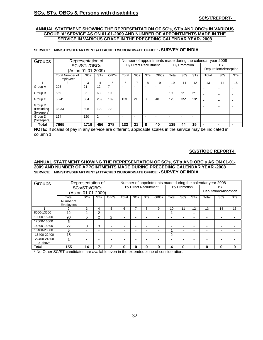## **SCs, STs, OBCs & Persons with disabilities**

#### **ANNUAL STATEMENT SHOWING THE REPRESENTATION OF SC's, ST's AND OBC's IN VARIOUS GROUP 'A' SERVICE AS ON 01-01-2009 AND NUMBER OF APPOINTMENTS MADE IN THE SERVICE IN VARIOUS GRADE IN THE PRECEDING CALENDAR YEAR- 2008**

#### **SERVICE: MINISTRY/DEPARTMENT /ATTACHED /SUBORDINATE OFFICE: - SURVEY OF INDIA**

| Groups                             |                                            | Representation of  |            |             |                              |                          |            |                          |       |              |            | Number of appointments made during the calendar year 2008 |                       |            |
|------------------------------------|--------------------------------------------|--------------------|------------|-------------|------------------------------|--------------------------|------------|--------------------------|-------|--------------|------------|-----------------------------------------------------------|-----------------------|------------|
|                                    |                                            | SCs/STs/OBCs       |            |             | <b>By Direct Recruitment</b> |                          |            |                          |       | By Promotion |            | BY                                                        |                       |            |
|                                    |                                            | (As on 01-01-2009) |            |             |                              |                          |            |                          |       |              |            |                                                           | Deputation/Absorption |            |
|                                    | <b>Total Number of</b><br><b>Employees</b> | <b>SCs</b>         | <b>STs</b> | <b>OBCs</b> | Total                        | <b>SCs</b>               | <b>STs</b> | <b>OBCs</b>              | Total | <b>SCs</b>   | <b>STs</b> | Total                                                     | <b>SCs</b>            | <b>STs</b> |
|                                    |                                            | 6                  |            | 8           | 9                            | 10                       | 11         | 12                       | 13    | 14           | 15         |                                                           |                       |            |
| Group A                            | 208                                        | 21                 | 12         | 7           |                              | ٠                        |            |                          |       |              |            |                                                           | ۰                     |            |
| Group B                            | 559                                        | 86                 | 63         | 10          | $\overline{\phantom{a}}$     | -                        | ٠          | $\overline{\phantom{0}}$ | 19    | $9*$         | $2^*$      |                                                           | ۰                     | ۰          |
| Group C                            | 3.741                                      | 684                | 259        | 189         | 133                          | 21                       | 8          | 40                       | 120   | $35*$        | $13*$      |                                                           | ۰                     |            |
| Group D<br>(Excluding<br>Sweepers) | 3,033                                      | 808                | 120        | 72          |                              | $\overline{\phantom{a}}$ | ٠          |                          |       |              |            |                                                           | ۰                     |            |
| Group D<br>(Sweepers)              | 124<br>120<br>$\overline{2}$<br>۰          |                    |            |             |                              | ٠                        |            |                          |       |              |            |                                                           |                       |            |
| Total                              | 7665                                       | 1719               | 456        | 278         | 133                          | 21                       | 8          | 40                       | 139   | 44           | 15         |                                                           | ۰                     |            |

**NOTE:** If scales of pay in any service are different, applicable scales in the service may be indicated in column 1.

#### **SC/ST/OBC REPORT-II**

#### **ANNUAL STATEMENT SHOWING THE REPRESENTATION OF SC's, ST's AND OBC's AS ON 01-01- 2009 AND NUMBER OF APPOINTMENTS MADE DURING PRECEDING CALENDAR YEAR -2008 SERVICE: MINISTRY/DEPARTMENT /ATTACHED /SUBORDINATE OFFICE: - SURVEY OF INDIA**

| Groups      | Representation of                                           |                          |   | Number of appointments made during the calendar year 2008 |                          |                          |                          |                          |                          |                          |                          |                          |                          |                          |
|-------------|-------------------------------------------------------------|--------------------------|---|-----------------------------------------------------------|--------------------------|--------------------------|--------------------------|--------------------------|--------------------------|--------------------------|--------------------------|--------------------------|--------------------------|--------------------------|
|             |                                                             | SCs/STs/OBCs             |   |                                                           | By Direct Recruitment    |                          |                          |                          |                          | By Promotion             |                          | BY                       |                          |                          |
|             |                                                             | (As on 01-01-2009)       |   |                                                           |                          |                          |                          |                          |                          |                          | Deputation/Absorption    |                          |                          |                          |
|             | <b>SCs</b><br><b>ST<sub>s</sub></b><br><b>OBCs</b><br>Total |                          |   |                                                           | Total                    | <b>SCs</b>               | <b>ST<sub>s</sub></b>    | <b>OBCs</b>              | Total                    | <b>SCs</b>               | <b>STs</b>               | Total                    | <b>SCs</b>               | <b>STs</b>               |
|             | Number of                                                   |                          |   |                                                           |                          |                          |                          |                          |                          |                          |                          |                          |                          |                          |
|             | <b>Employees</b>                                            |                          |   |                                                           |                          |                          |                          |                          |                          |                          |                          |                          |                          |                          |
|             | 3<br>5<br>4                                                 |                          |   |                                                           |                          | –                        | 8                        | 9                        | 10                       | 11                       | 12                       | 13                       | 14                       | 15                       |
| 8000-13500  | 12<br>$\overline{2}$<br>٠<br>-                              |                          |   | $\overline{\phantom{0}}$                                  |                          |                          | -                        |                          | $\overline{\phantom{0}}$ |                          | $\overline{\phantom{a}}$ | $\overline{\phantom{0}}$ | $\overline{\phantom{0}}$ |                          |
| 10000-15200 | 90                                                          | 5                        | 2 | 2                                                         | $\overline{\phantom{0}}$ | $\overline{\phantom{0}}$ | -                        |                          |                          | -                        | -                        | $\overline{\phantom{0}}$ | $\overline{\phantom{0}}$ |                          |
| 12000-16500 | 5                                                           | $\overline{\phantom{0}}$ |   |                                                           | $\overline{\phantom{0}}$ |                          | -                        |                          |                          | $\overline{\phantom{0}}$ | -                        | $\overline{\phantom{0}}$ | $\overline{\phantom{0}}$ |                          |
| 14300-18300 | 27                                                          | 8                        | 3 | -                                                         | $\overline{\phantom{0}}$ | -                        | $\overline{\phantom{0}}$ |                          |                          | -                        | -                        | $\overline{\phantom{0}}$ | $\overline{\phantom{0}}$ | -                        |
| 16400-20000 | 5                                                           | $\overline{\phantom{0}}$ | - |                                                           | -                        | $\overline{\phantom{0}}$ | -                        | $\overline{\phantom{0}}$ |                          |                          | -                        | $\overline{\phantom{a}}$ | $\overline{\phantom{0}}$ | $\overline{\phantom{0}}$ |
| 18400-22400 | 15                                                          | $\overline{\phantom{0}}$ | - |                                                           |                          |                          | $\overline{\phantom{0}}$ |                          | 2                        | $\overline{\phantom{0}}$ |                          | $\overline{\phantom{0}}$ | $\overline{\phantom{0}}$ |                          |
| 22400-24500 |                                                             |                          |   |                                                           |                          |                          |                          |                          |                          |                          |                          |                          |                          |                          |
| & above     |                                                             |                          |   |                                                           |                          |                          |                          |                          |                          |                          |                          |                          |                          |                          |
| Total       | 155                                                         | 14                       |   | 2                                                         | ŋ                        | 0                        | O                        | Λ                        | 4                        | 0                        |                          | O                        | 0                        | $\bf{0}$                 |

\* No Other SC/ST candidates are available even in the extended zone of consideration.